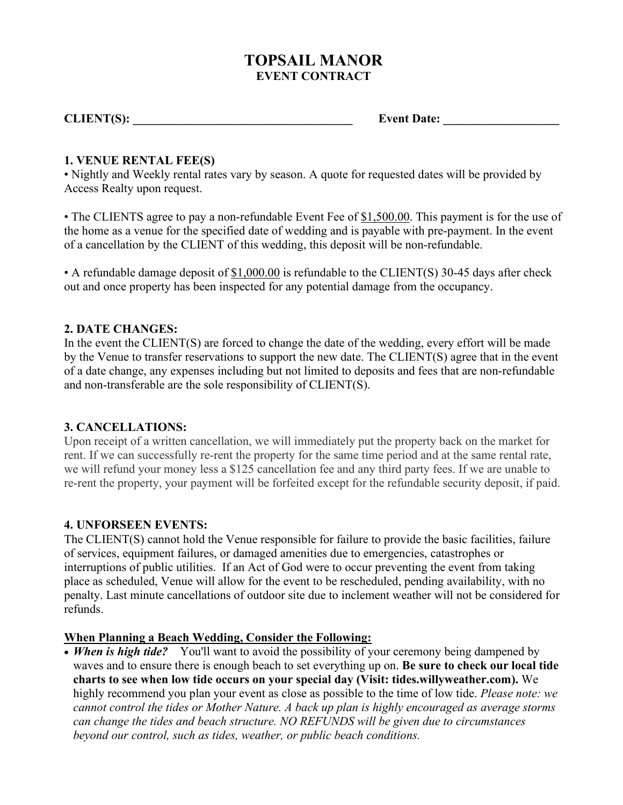# **TOPSAIL MANOR EVENT CONTRACT**

**CLIENT(S):** Event Date:

#### **1. VENUE RENTAL FEE(S)**

• Nightly and Weekly rental rates vary by season. A quote for requested dates will be provided by Access Realty upon request.

• The CLIENTS agree to pay a non-refundable Event Fee of \$1,500.00. This payment is for the use of the home as a venue for the specified date of wedding and is payable with pre-payment. In the event of a cancellation by the CLIENT of this wedding, this deposit will be non-refundable.

• A refundable damage deposit of \$1,000.00 is refundable to the CLIENT(S) 30-45 days after check out and once property has been inspected for any potential damage from the occupancy.

#### **2. DATE CHANGES:**

In the event the CLIENT(S) are forced to change the date of the wedding, every effort will be made by the Venue to transfer reservations to support the new date. The CLIENT(S) agree that in the event of a date change, any expenses including but not limited to deposits and fees that are non-refundable and non-transferable are the sole responsibility of CLIENT(S).

# **3. CANCELLATIONS:**

Upon receipt of a written cancellation, we will immediately put the property back on the market for rent. If we can successfully re-rent the property for the same time period and at the same rental rate, we will refund your money less a \$125 cancellation fee and any third party fees. If we are unable to re-rent the property, your payment will be forfeited except for the refundable security deposit, if paid.

# **4. UNFORSEEN EVENTS:**

The CLIENT(S) cannot hold the Venue responsible for failure to provide the basic facilities, failure of services, equipment failures, or damaged amenities due to emergencies, catastrophes or interruptions of public utilities. If an Act of God were to occur preventing the event from taking place as scheduled, Venue will allow for the event to be rescheduled, pending availability, with no penalty. Last minute cancellations of outdoor site due to inclement weather will not be considered for refunds.

#### **When Planning a Beach Wedding, Consider the Following:**

• *When is high tide?* You'll want to avoid the possibility of your ceremony being dampened by waves and to ensure there is enough beach to set everything up on. **Be sure to check our local tide charts to see when low tide occurs on your special day (Visit: tides.willyweather.com).** We highly recommend you plan your event as close as possible to the time of low tide. *Please note: we cannot control the tides or Mother Nature. A back up plan is highly encouraged as average storms can change the tides and beach structure. NO REFUNDS will be given due to circumstances beyond our control, such as tides, weather, or public beach conditions.*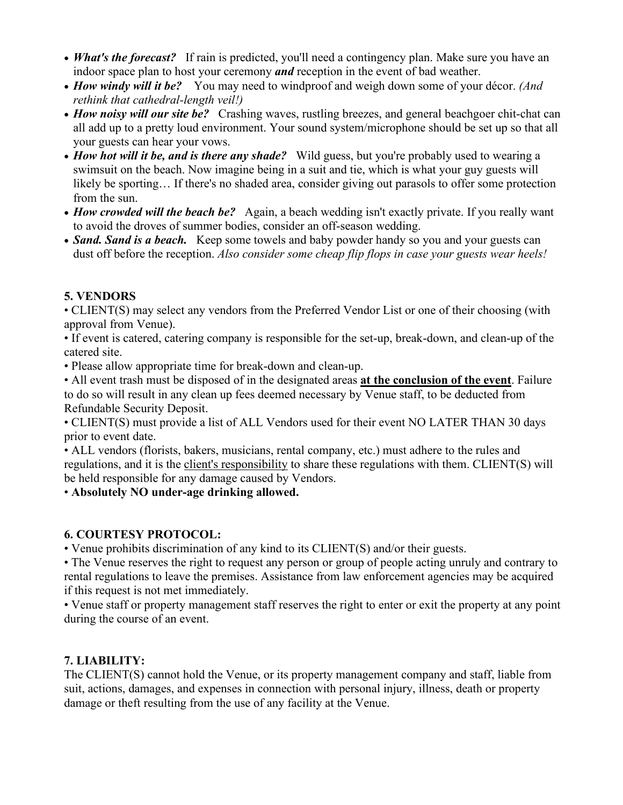- *What's the forecast?* If rain is predicted, you'll need a contingency plan. Make sure you have an indoor space plan to host your ceremony *and* reception in the event of bad weather.
- *How windy will it be?* You may need to windproof and weigh down some of your décor. *(And rethink that cathedral-length veil!)*
- *How noisy will our site be?* Crashing waves, rustling breezes, and general beachgoer chit-chat can all add up to a pretty loud environment. Your sound system/microphone should be set up so that all your guests can hear your vows.
- *How hot will it be, and is there any shade?* Wild guess, but you're probably used to wearing a swimsuit on the beach. Now imagine being in a suit and tie, which is what your guy guests will likely be sporting... If there's no shaded area, consider giving out parasols to offer some protection from the sun.
- *How crowded will the beach be?* Again, a beach wedding isn't exactly private. If you really want to avoid the droves of summer bodies, consider an off-season wedding.
- *Sand. Sand is a beach.* Keep some towels and baby powder handy so you and your guests can dust off before the reception. *Also consider some cheap flip flops in case your guests wear heels!*

# **5. VENDORS**

• CLIENT(S) may select any vendors from the Preferred Vendor List or one of their choosing (with approval from Venue).

• If event is catered, catering company is responsible for the set-up, break-down, and clean-up of the catered site.

• Please allow appropriate time for break-down and clean-up.

• All event trash must be disposed of in the designated areas **at the conclusion of the event**. Failure to do so will result in any clean up fees deemed necessary by Venue staff, to be deducted from Refundable Security Deposit.

• CLIENT(S) must provide a list of ALL Vendors used for their event NO LATER THAN 30 days prior to event date.

• ALL vendors (florists, bakers, musicians, rental company, etc.) must adhere to the rules and regulations, and it is the client's responsibility to share these regulations with them. CLIENT(S) will be held responsible for any damage caused by Vendors.

• **Absolutely NO under-age drinking allowed.**

# **6. COURTESY PROTOCOL:**

• Venue prohibits discrimination of any kind to its CLIENT(S) and/or their guests.

• The Venue reserves the right to request any person or group of people acting unruly and contrary to rental regulations to leave the premises. Assistance from law enforcement agencies may be acquired if this request is not met immediately.

• Venue staff or property management staff reserves the right to enter or exit the property at any point during the course of an event.

# **7. LIABILITY:**

The CLIENT(S) cannot hold the Venue, or its property management company and staff, liable from suit, actions, damages, and expenses in connection with personal injury, illness, death or property damage or theft resulting from the use of any facility at the Venue.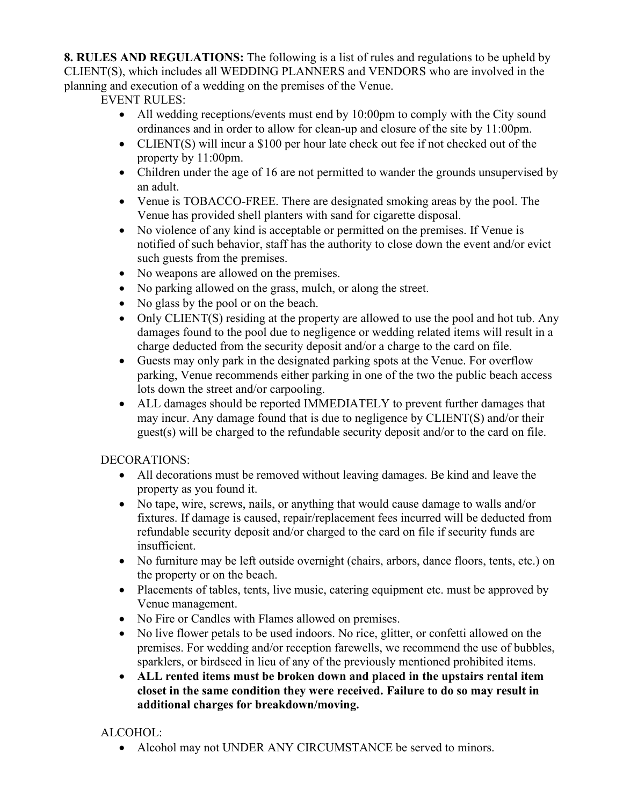**8. RULES AND REGULATIONS:** The following is a list of rules and regulations to be upheld by CLIENT(S), which includes all WEDDING PLANNERS and VENDORS who are involved in the planning and execution of a wedding on the premises of the Venue.

EVENT RULES:

- All wedding receptions/events must end by 10:00pm to comply with the City sound ordinances and in order to allow for clean-up and closure of the site by 11:00pm.
- CLIENT(S) will incur a \$100 per hour late check out fee if not checked out of the property by 11:00pm.
- Children under the age of 16 are not permitted to wander the grounds unsupervised by an adult.
- Venue is TOBACCO-FREE. There are designated smoking areas by the pool. The Venue has provided shell planters with sand for cigarette disposal.
- No violence of any kind is acceptable or permitted on the premises. If Venue is notified of such behavior, staff has the authority to close down the event and/or evict such guests from the premises.
- No weapons are allowed on the premises.
- No parking allowed on the grass, mulch, or along the street.
- No glass by the pool or on the beach.
- Only CLIENT(S) residing at the property are allowed to use the pool and hot tub. Any damages found to the pool due to negligence or wedding related items will result in a charge deducted from the security deposit and/or a charge to the card on file.
- Guests may only park in the designated parking spots at the Venue. For overflow parking, Venue recommends either parking in one of the two the public beach access lots down the street and/or carpooling.
- ALL damages should be reported IMMEDIATELY to prevent further damages that may incur. Any damage found that is due to negligence by CLIENT(S) and/or their guest(s) will be charged to the refundable security deposit and/or to the card on file.

# DECORATIONS:

- All decorations must be removed without leaving damages. Be kind and leave the property as you found it.
- No tape, wire, screws, nails, or anything that would cause damage to walls and/or fixtures. If damage is caused, repair/replacement fees incurred will be deducted from refundable security deposit and/or charged to the card on file if security funds are insufficient.
- No furniture may be left outside overnight (chairs, arbors, dance floors, tents, etc.) on the property or on the beach.
- Placements of tables, tents, live music, catering equipment etc. must be approved by Venue management.
- No Fire or Candles with Flames allowed on premises.
- No live flower petals to be used indoors. No rice, glitter, or confetti allowed on the premises. For wedding and/or reception farewells, we recommend the use of bubbles, sparklers, or birdseed in lieu of any of the previously mentioned prohibited items.
- **ALL rented items must be broken down and placed in the upstairs rental item closet in the same condition they were received. Failure to do so may result in additional charges for breakdown/moving.**

# ALCOHOL:

• Alcohol may not UNDER ANY CIRCUMSTANCE be served to minors.